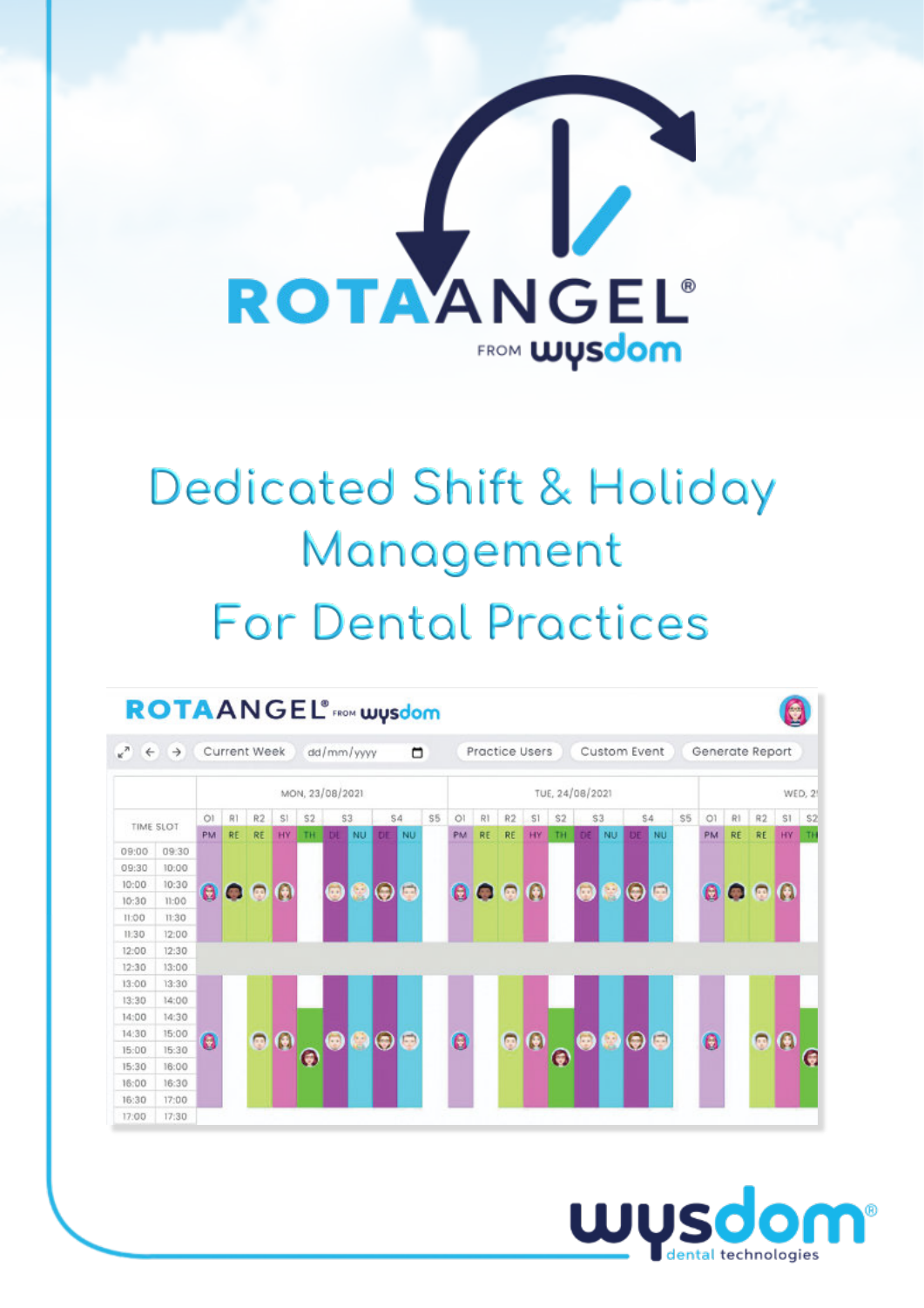

# **Dedicated Shift & Holiday** Management **For Dental Practices**